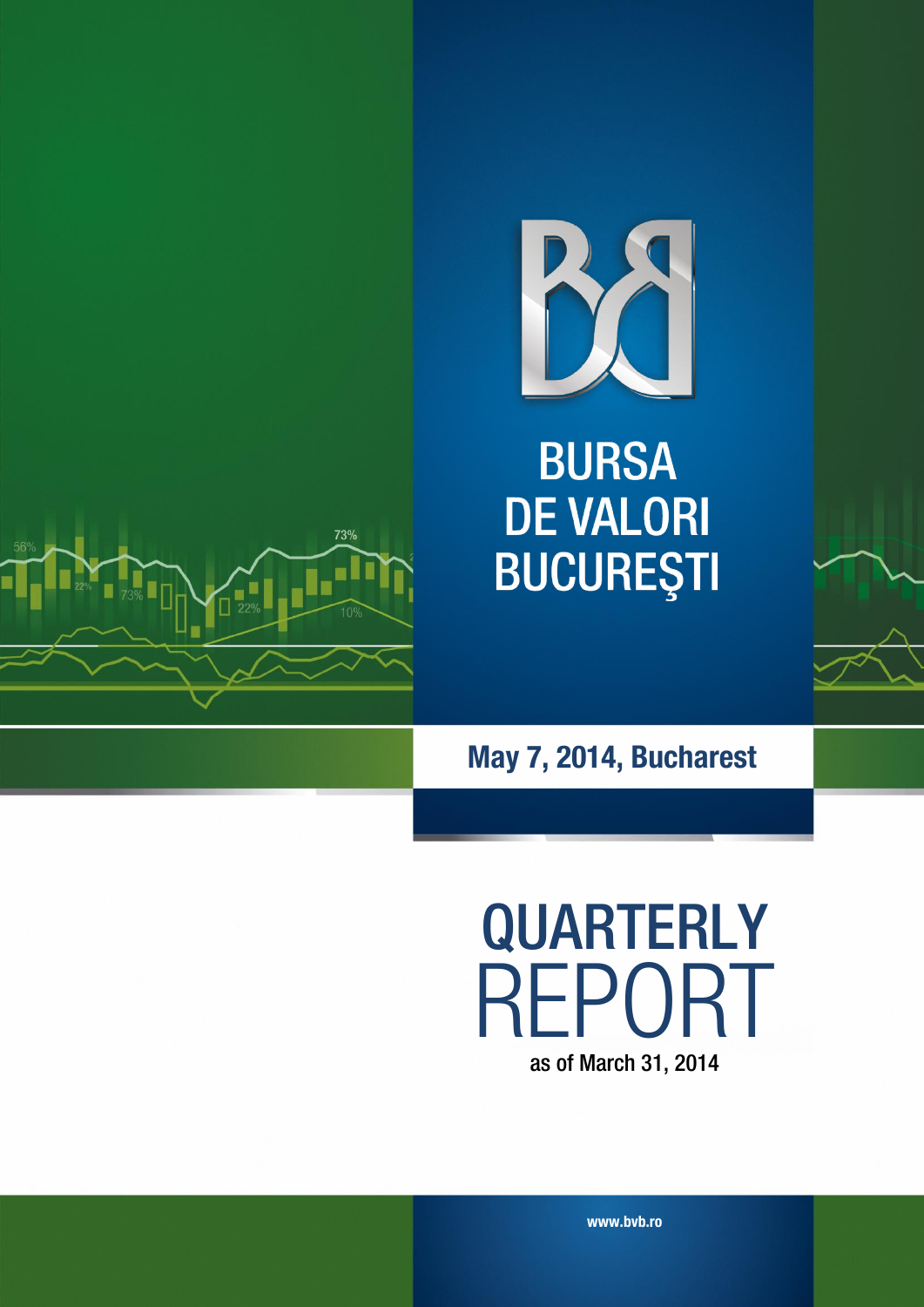

**BURSA DE VALORI BUCUREŞTI** 



# **May 7, 2014, Bucharest**



**www.bvb.ro**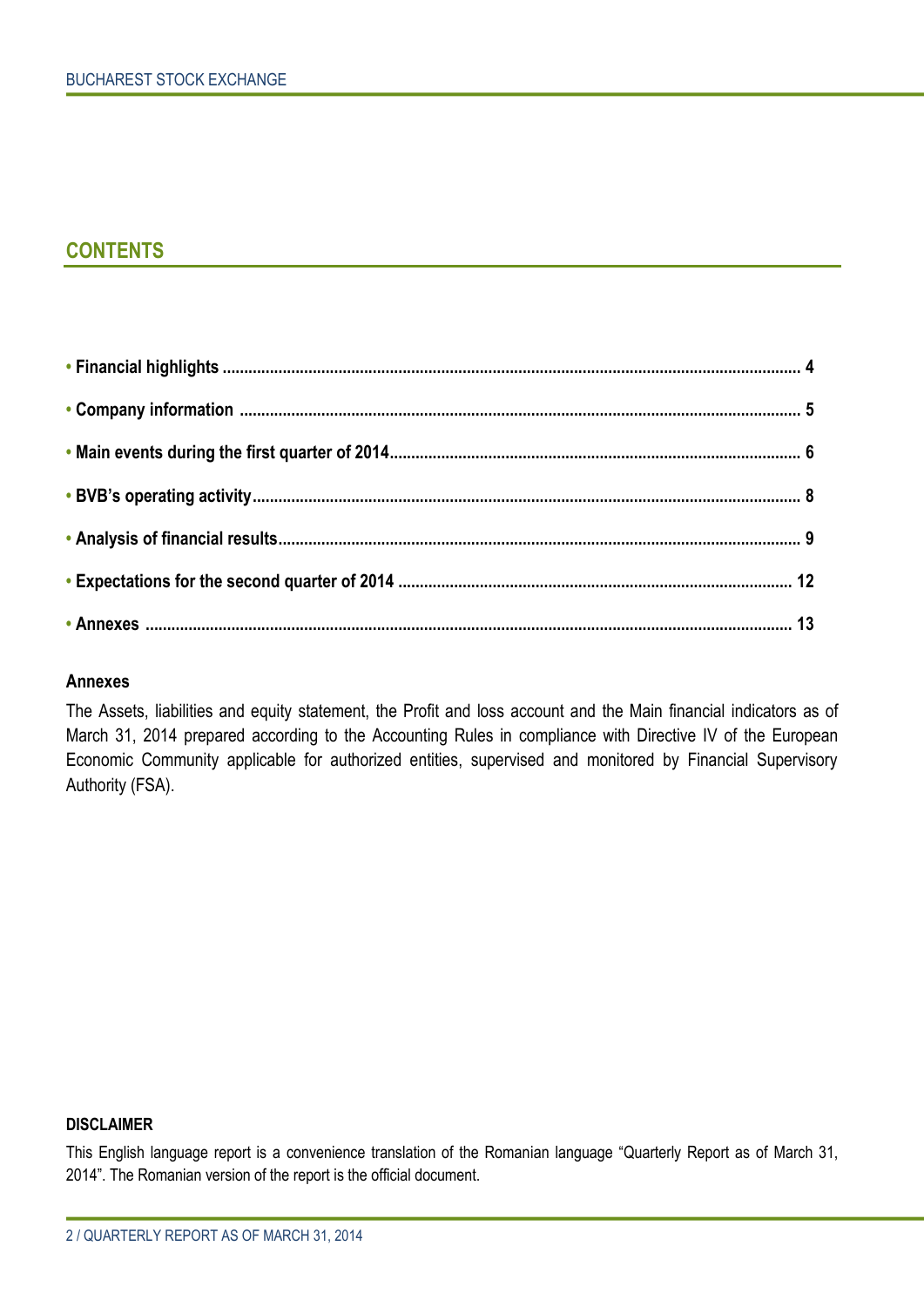#### **CONTENTS**

#### **Annexes**

The Assets, liabilities and equity statement, the Profit and loss account and the Main financial indicators as of March 31, 2014 prepared according to the Accounting Rules in compliance with Directive IV of the European Economic Community applicable for authorized entities, supervised and monitored by Financial Supervisory Authority (FSA).

#### **DISCLAIMER**

This English language report is a convenience translation of the Romanian language "Quarterly Report as of March 31, 2014". The Romanian version of the report is the official document.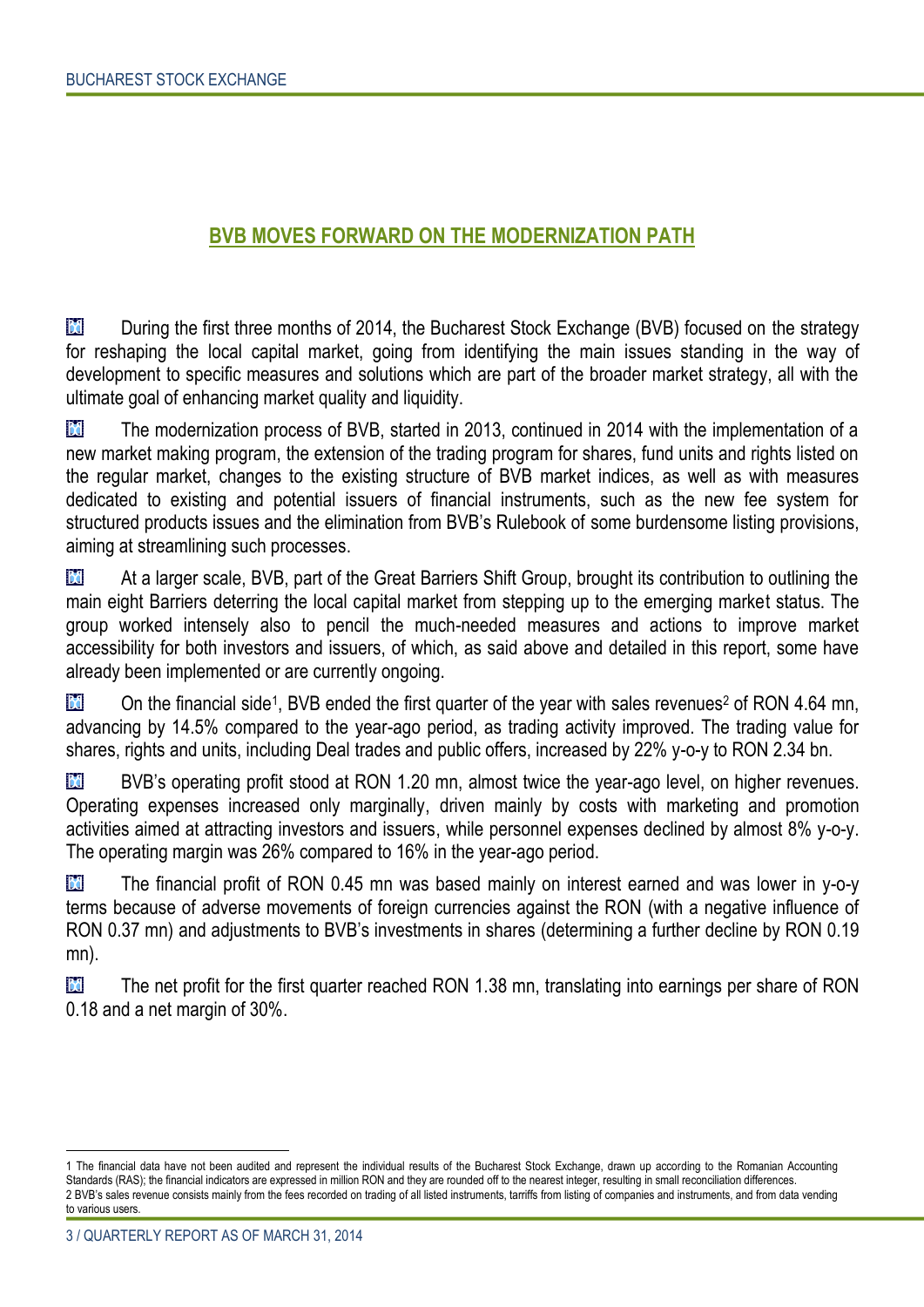### **BVB MOVES FORWARD ON THE MODERNIZATION PATH**

M During the first three months of 2014, the Bucharest Stock Exchange (BVB) focused on the strategy for reshaping the local capital market, going from identifying the main issues standing in the way of development to specific measures and solutions which are part of the broader market strategy, all with the ultimate goal of enhancing market quality and liquidity.

M The modernization process of BVB, started in 2013, continued in 2014 with the implementation of a new market making program, the extension of the trading program for shares, fund units and rights listed on the regular market, changes to the existing structure of BVB market indices, as well as with measures dedicated to existing and potential issuers of financial instruments, such as the new fee system for structured products issues and the elimination from BVB's Rulebook of some burdensome listing provisions, aiming at streamlining such processes.

M At a larger scale, BVB, part of the Great Barriers Shift Group, brought its contribution to outlining the main eight Barriers deterring the local capital market from stepping up to the emerging market status. The group worked intensely also to pencil the much-needed measures and actions to improve market accessibility for both investors and issuers, of which, as said above and detailed in this report, some have already been implemented or are currently ongoing.

M On the financial side<sup>1</sup>, BVB ended the first quarter of the year with sales revenues<sup>2</sup> of RON 4.64 mn, advancing by 14.5% compared to the year-ago period, as trading activity improved. The trading value for shares, rights and units, including Deal trades and public offers, increased by 22% y-o-y to RON 2.34 bn.

M BVB's operating profit stood at RON 1.20 mn, almost twice the year-ago level, on higher revenues. Operating expenses increased only marginally, driven mainly by costs with marketing and promotion activities aimed at attracting investors and issuers, while personnel expenses declined by almost 8% y-o-y. The operating margin was 26% compared to 16% in the year-ago period.

M The financial profit of RON 0.45 mn was based mainly on interest earned and was lower in y-o-y terms because of adverse movements of foreign currencies against the RON (with a negative influence of RON 0.37 mn) and adjustments to BVB's investments in shares (determining a further decline by RON 0.19 mn).

M The net profit for the first quarter reached RON 1.38 mn, translating into earnings per share of RON 0.18 and a net margin of 30%.

 $\ddot{\phantom{a}}$ 

<sup>1</sup> The financial data have not been audited and represent the individual results of the Bucharest Stock Exchange, drawn up according to the Romanian Accounting Standards (RAS); the financial indicators are expressed in million RON and they are rounded off to the nearest integer, resulting in small reconciliation differences. 2 BVB's sales revenue consists mainly from the fees recorded on trading of all listed instruments, tarriffs from listing of companies and instruments, and from data vending to various users.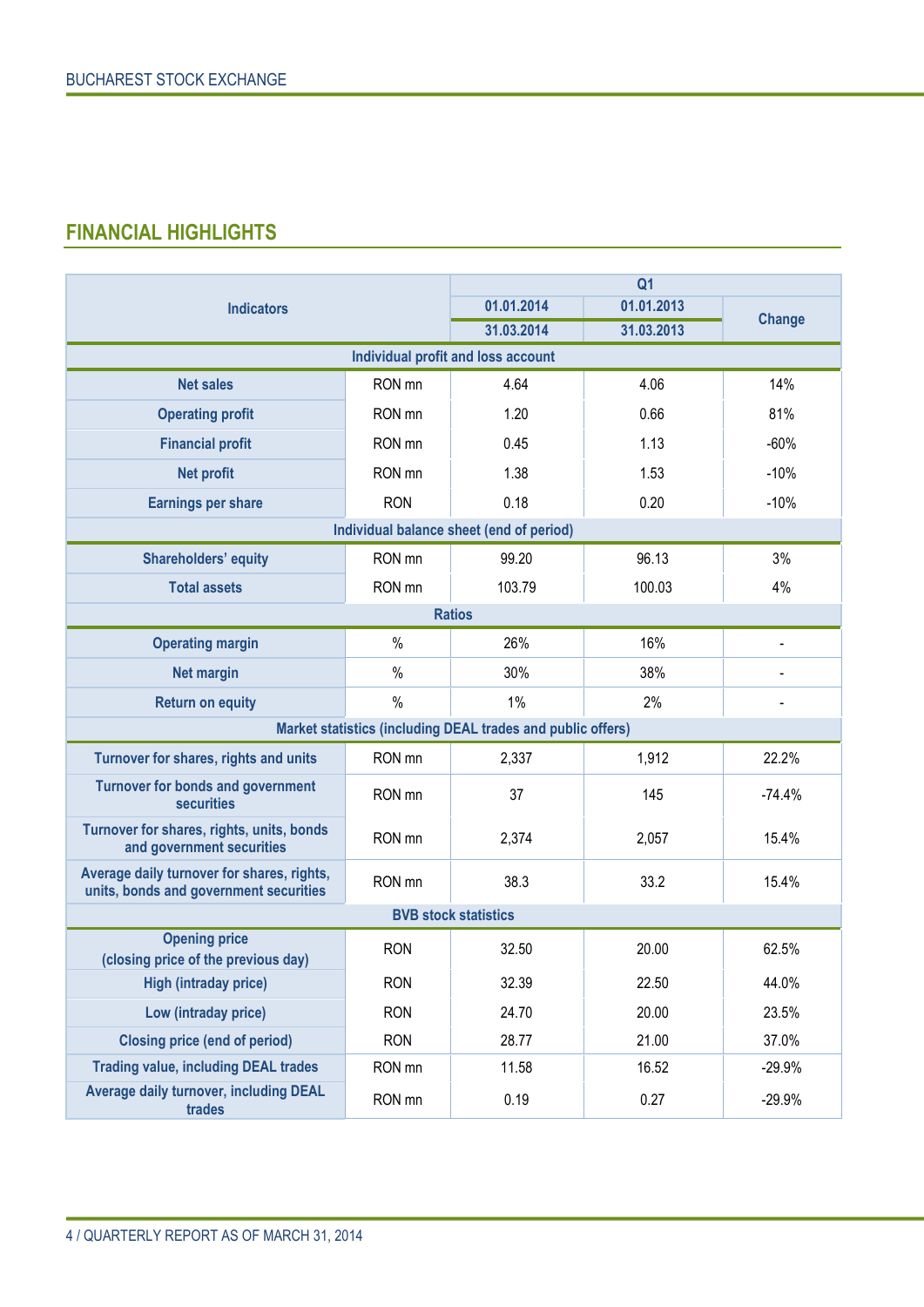### **FINANCIAL HIGHLIGHTS**

|                                                                                      |            | Q <sub>1</sub>                                              |            |                |
|--------------------------------------------------------------------------------------|------------|-------------------------------------------------------------|------------|----------------|
| <b>Indicators</b>                                                                    |            | 01.01.2014                                                  | 01.01.2013 | <b>Change</b>  |
|                                                                                      |            | 31.03.2014                                                  | 31.03.2013 |                |
|                                                                                      |            | Individual profit and loss account                          |            |                |
| <b>Net sales</b>                                                                     | RON mn     | 4.64                                                        | 4.06       | 14%            |
| <b>Operating profit</b>                                                              | RON mn     | 1.20                                                        | 0.66       | 81%            |
| <b>Financial profit</b>                                                              | RON mn     | 0.45                                                        | 1.13       | $-60%$         |
| <b>Net profit</b>                                                                    | RON mn     | 1.38                                                        | 1.53       | $-10%$         |
| <b>Earnings per share</b>                                                            | <b>RON</b> | 0.18                                                        | 0.20       | $-10%$         |
|                                                                                      |            | Individual balance sheet (end of period)                    |            |                |
| <b>Shareholders' equity</b>                                                          | RON mn     | 99.20                                                       | 96.13      | 3%             |
| <b>Total assets</b>                                                                  | RON mn     | 103.79                                                      | 100.03     | 4%             |
|                                                                                      |            | <b>Ratios</b>                                               |            |                |
| <b>Operating margin</b>                                                              | $\%$       | 26%                                                         | 16%        | $\blacksquare$ |
| <b>Net margin</b>                                                                    | $\%$       | 30%                                                         | 38%        |                |
| <b>Return on equity</b>                                                              | $\%$       | 1%                                                          | 2%         |                |
|                                                                                      |            | Market statistics (including DEAL trades and public offers) |            |                |
| Turnover for shares, rights and units                                                | RON mn     | 2,337                                                       | 1,912      | 22.2%          |
| <b>Turnover for bonds and government</b><br><b>securities</b>                        | RON mn     | 37                                                          | 145        | $-74.4%$       |
| Turnover for shares, rights, units, bonds<br>and government securities               | RON mn     | 2,374                                                       | 2,057      | 15.4%          |
| Average daily turnover for shares, rights,<br>units, bonds and government securities | RON mn     | 38.3                                                        | 33.2       | 15.4%          |
|                                                                                      |            | <b>BVB stock statistics</b>                                 |            |                |
| <b>Opening price</b><br>(closing price of the previous day)                          | <b>RON</b> | 32.50                                                       | 20.00      | 62.5%          |
| <b>High (intraday price)</b>                                                         | <b>RON</b> | 32.39                                                       | 22.50      | 44.0%          |
| Low (intraday price)                                                                 | <b>RON</b> | 24.70                                                       | 20.00      | 23.5%          |
| <b>Closing price (end of period)</b>                                                 | <b>RON</b> | 28.77                                                       | 21.00      | 37.0%          |
| <b>Trading value, including DEAL trades</b>                                          | RON mn     | 11.58                                                       | 16.52      | $-29.9%$       |
| Average daily turnover, including DEAL<br>trades                                     | RON mn     | 0.19                                                        | 0.27       | $-29.9%$       |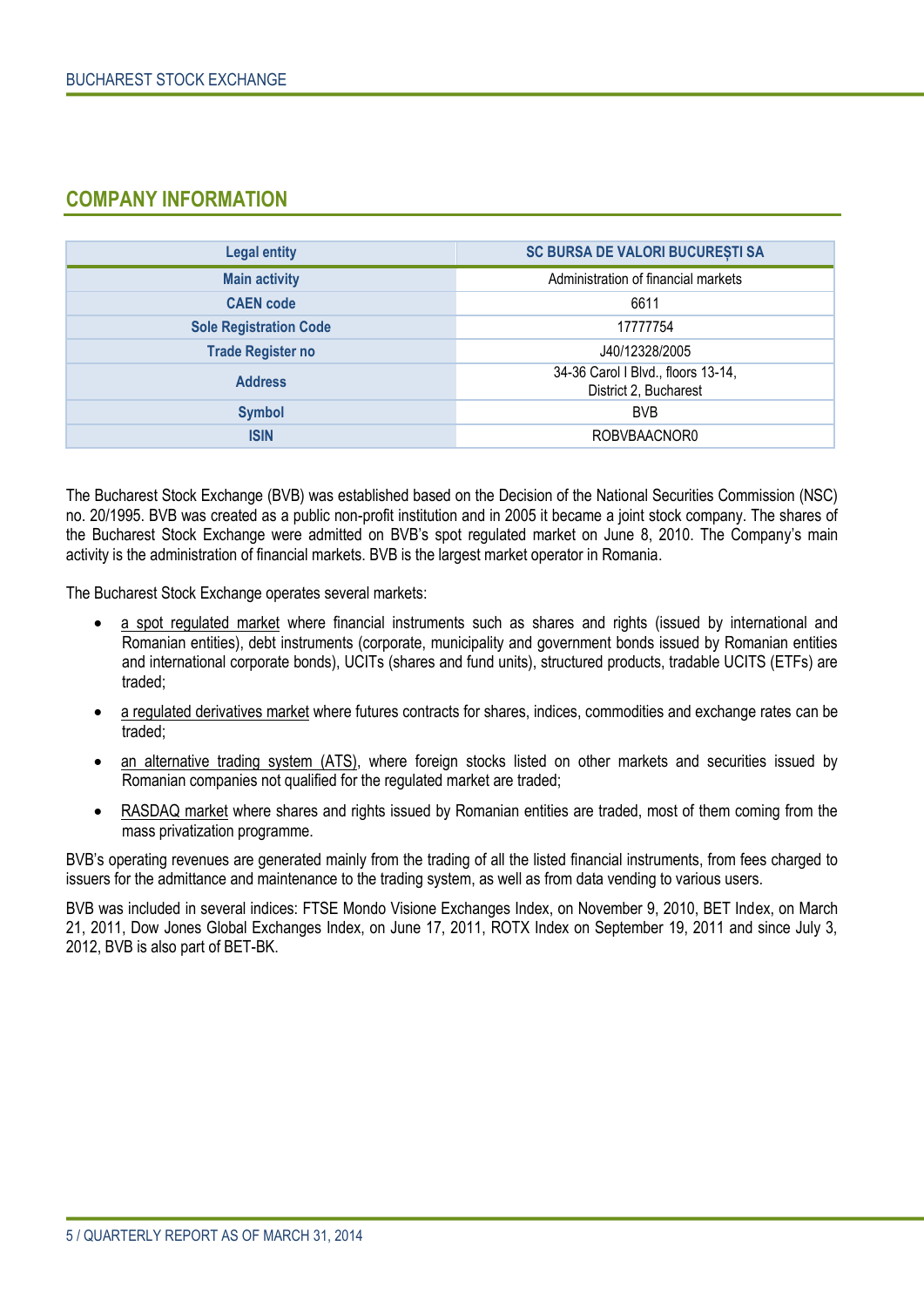#### **COMPANY INFORMATION**

| <b>Legal entity</b>           | SC BURSA DE VALORI BUCUREȘTI SA                             |
|-------------------------------|-------------------------------------------------------------|
| <b>Main activity</b>          | Administration of financial markets                         |
| <b>CAEN</b> code              | 6611                                                        |
| <b>Sole Registration Code</b> | 17777754                                                    |
| <b>Trade Register no</b>      | J40/12328/2005                                              |
| <b>Address</b>                | 34-36 Carol I Blvd., floors 13-14,<br>District 2, Bucharest |
| <b>Symbol</b>                 | <b>BVB</b>                                                  |
| <b>ISIN</b>                   | ROBVBAACNOR0                                                |

The Bucharest Stock Exchange (BVB) was established based on the Decision of the National Securities Commission (NSC) no. 20/1995. BVB was created as a public non-profit institution and in 2005 it became a joint stock company. The shares of the Bucharest Stock Exchange were admitted on BVB's spot regulated market on June 8, 2010. The Company's main activity is the administration of financial markets. BVB is the largest market operator in Romania.

The Bucharest Stock Exchange operates several markets:

- a spot regulated market where financial instruments such as shares and rights (issued by international and Romanian entities), debt instruments (corporate, municipality and government bonds issued by Romanian entities and international corporate bonds), UCITs (shares and fund units), structured products, tradable UCITS (ETFs) are traded;
- a regulated derivatives market where futures contracts for shares, indices, commodities and exchange rates can be traded;
- an alternative trading system (ATS), where foreign stocks listed on other markets and securities issued by Romanian companies not qualified for the regulated market are traded;
- RASDAQ market where shares and rights issued by Romanian entities are traded, most of them coming from the mass privatization programme.

BVB's operating revenues are generated mainly from the trading of all the listed financial instruments, from fees charged to issuers for the admittance and maintenance to the trading system, as well as from data vending to various users.

BVB was included in several indices: FTSE Mondo Visione Exchanges Index, on November 9, 2010, BET Index, on March 21, 2011, Dow Jones Global Exchanges Index, on June 17, 2011, ROTX Index on September 19, 2011 and since July 3, 2012, BVB is also part of BET-BK.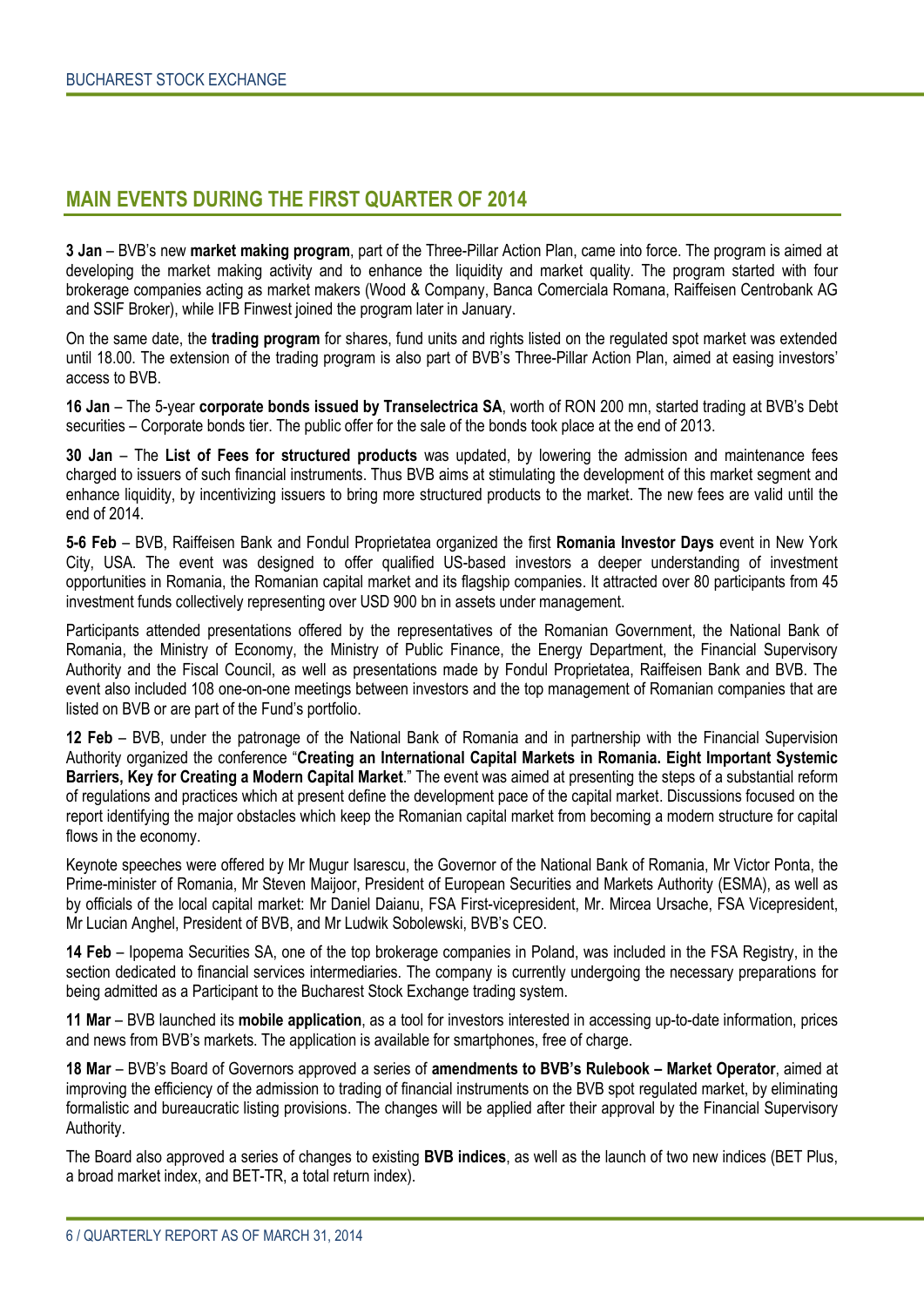#### **MAIN EVENTS DURING THE FIRST QUARTER OF 2014**

**3 Jan** – BVB's new **market making program**, part of the Three-Pillar Action Plan, came into force. The program is aimed at developing the market making activity and to enhance the liquidity and market quality. The program started with four brokerage companies acting as market makers (Wood & Company, Banca Comerciala Romana, Raiffeisen Centrobank AG and SSIF Broker), while IFB Finwest joined the program later in January.

On the same date, the **trading program** for shares, fund units and rights listed on the regulated spot market was extended until 18.00. The extension of the trading program is also part of BVB's Three-Pillar Action Plan, aimed at easing investors' access to BVB.

**16 Jan** – The 5-year **corporate bonds issued by Transelectrica SA**, worth of RON 200 mn, started trading at BVB's Debt securities – Corporate bonds tier. The public offer for the sale of the bonds took place at the end of 2013.

**30 Jan** – The **List of Fees for structured products** was updated, by lowering the admission and maintenance fees charged to issuers of such financial instruments. Thus BVB aims at stimulating the development of this market segment and enhance liquidity, by incentivizing issuers to bring more structured products to the market. The new fees are valid until the end of 2014.

**5-6 Feb** – BVB, Raiffeisen Bank and Fondul Proprietatea organized the first **Romania Investor Days** event in New York City. USA. The event was designed to offer qualified US-based investors a deeper understanding of investment opportunities in Romania, the Romanian capital market and its flagship companies. It attracted over 80 participants from 45 investment funds collectively representing over USD 900 bn in assets under management.

Participants attended presentations offered by the representatives of the Romanian Government, the National Bank of Romania, the Ministry of Economy, the Ministry of Public Finance, the Energy Department, the Financial Supervisory Authority and the Fiscal Council, as well as presentations made by Fondul Proprietatea, Raiffeisen Bank and BVB. The event also included 108 one-on-one meetings between investors and the top management of Romanian companies that are listed on BVB or are part of the Fund's portfolio.

**12 Feb** – BVB, under the patronage of the National Bank of Romania and in partnership with the Financial Supervision Authority organized the conference "**Creating an International Capital Markets in Romania. Eight Important Systemic Barriers, Key for Creating a Modern Capital Market**." The event was aimed at presenting the steps of a substantial reform of regulations and practices which at present define the development pace of the capital market. Discussions focused on the report identifying the major obstacles which keep the Romanian capital market from becoming a modern structure for capital flows in the economy.

Keynote speeches were offered by Mr Mugur Isarescu, the Governor of the National Bank of Romania, Mr Victor Ponta, the Prime-minister of Romania, Mr Steven Maijoor, President of European Securities and Markets Authority (ESMA), as well as by officials of the local capital market: Mr Daniel Daianu, FSA First-vicepresident, Mr. Mircea Ursache, FSA Vicepresident, Mr Lucian Anghel, President of BVB, and Mr Ludwik Sobolewski, BVB's CEO.

**14 Feb** – Ipopema Securities SA, one of the top brokerage companies in Poland, was included in the FSA Registry, in the section dedicated to financial services intermediaries. The company is currently undergoing the necessary preparations for being admitted as a Participant to the Bucharest Stock Exchange trading system.

**11 Mar** – BVB launched its **mobile application**, as a tool for investors interested in accessing up-to-date information, prices and news from BVB's markets. The application is available for smartphones, free of charge.

**18 Mar** – BVB's Board of Governors approved a series of **amendments to BVB's Rulebook – Market Operator**, aimed at improving the efficiency of the admission to trading of financial instruments on the BVB spot regulated market, by eliminating formalistic and bureaucratic listing provisions. The changes will be applied after their approval by the Financial Supervisory Authority.

The Board also approved a series of changes to existing **BVB indices**, as well as the launch of two new indices (BET Plus, a broad market index, and BET-TR, a total return index).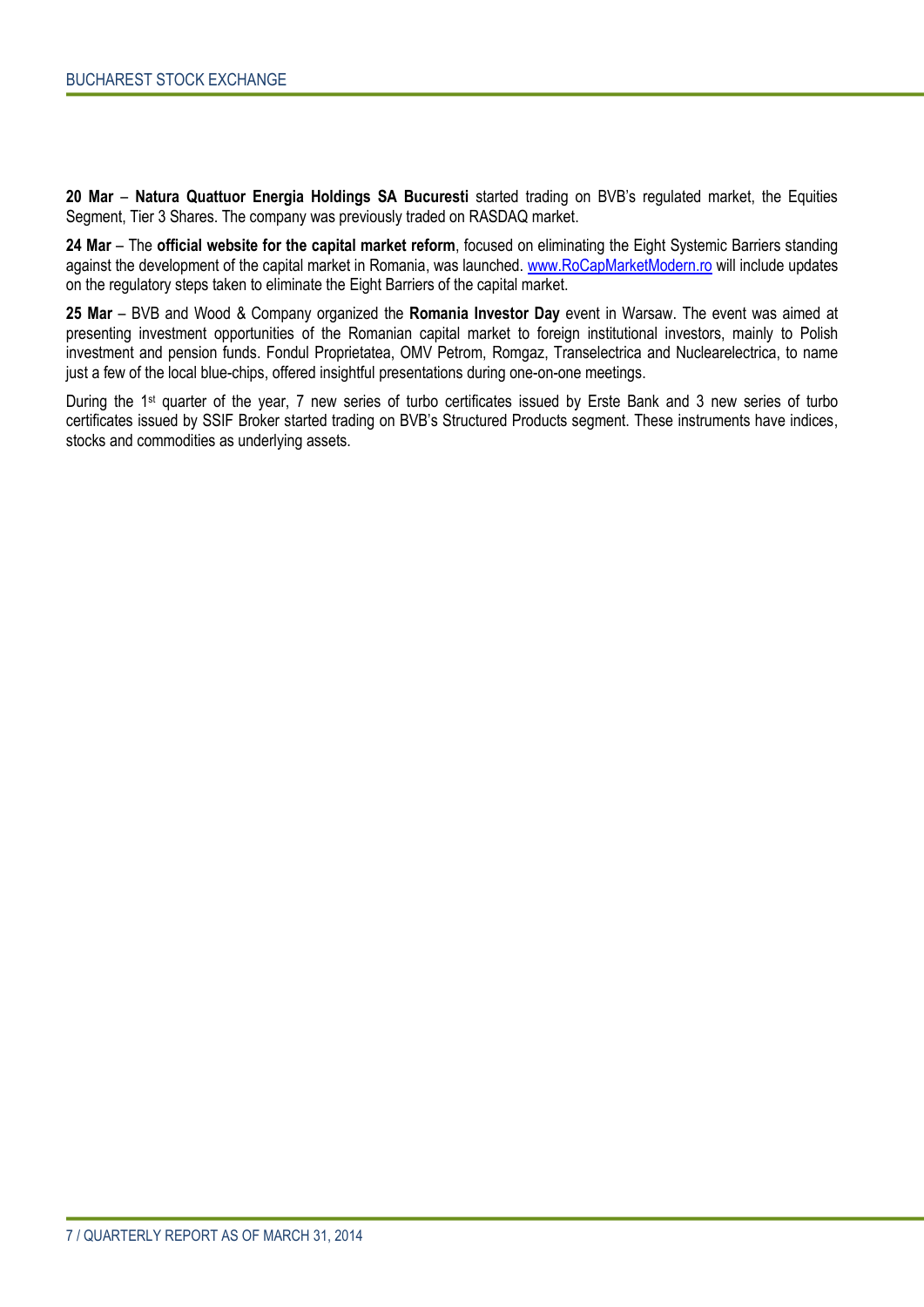**20 Mar** – **Natura Quattuor Energia Holdings SA Bucuresti** started trading on BVB's regulated market, the Equities Segment, Tier 3 Shares. The company was previously traded on RASDAQ market.

**24 Mar** – The **official website for the capital market reform**, focused on eliminating the Eight Systemic Barriers standing against the development of the capital market in Romania, was launched. [www.RoCapMarketModern.ro](http://www.rocapmarketmodern.ro/) will include updates on the regulatory steps taken to eliminate the Eight Barriers of the capital market.

**25 Mar** – BVB and Wood & Company organized the **Romania Investor Day** event in Warsaw. The event was aimed at presenting investment opportunities of the Romanian capital market to foreign institutional investors, mainly to Polish investment and pension funds. Fondul Proprietatea, OMV Petrom, Romgaz, Transelectrica and Nuclearelectrica, to name just a few of the local blue-chips, offered insightful presentations during one-on-one meetings.

During the 1<sup>st</sup> quarter of the year, 7 new series of turbo certificates issued by Erste Bank and 3 new series of turbo certificates issued by SSIF Broker started trading on BVB's Structured Products segment. These instruments have indices, stocks and commodities as underlying assets.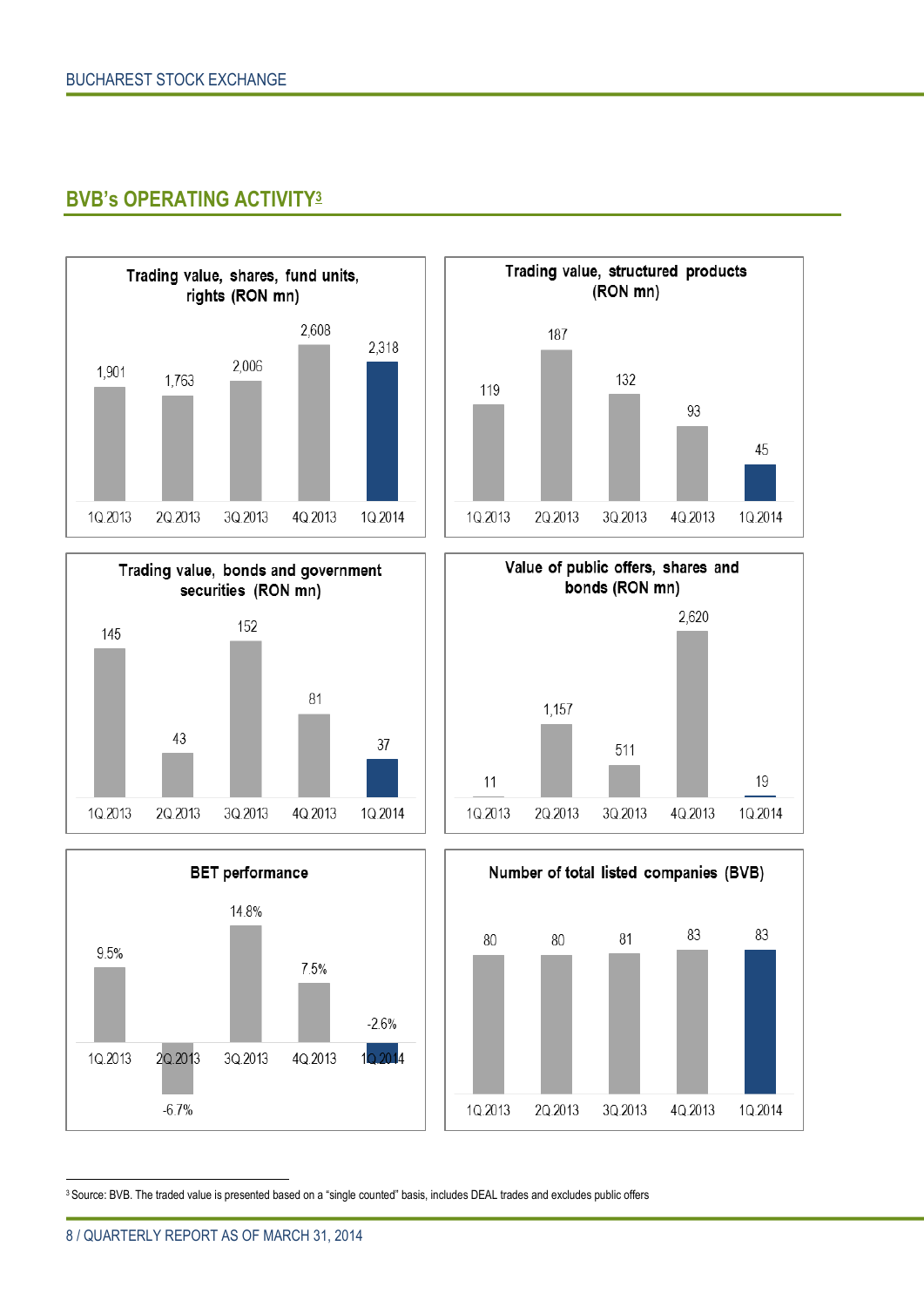#### **BVB's OPERATING ACTIVITY<sup>3</sup>**













 $\overline{a}$ <sup>3</sup> Source: BVB. The traded value is presented based on a "single counted" basis, includes DEAL trades and excludes public offers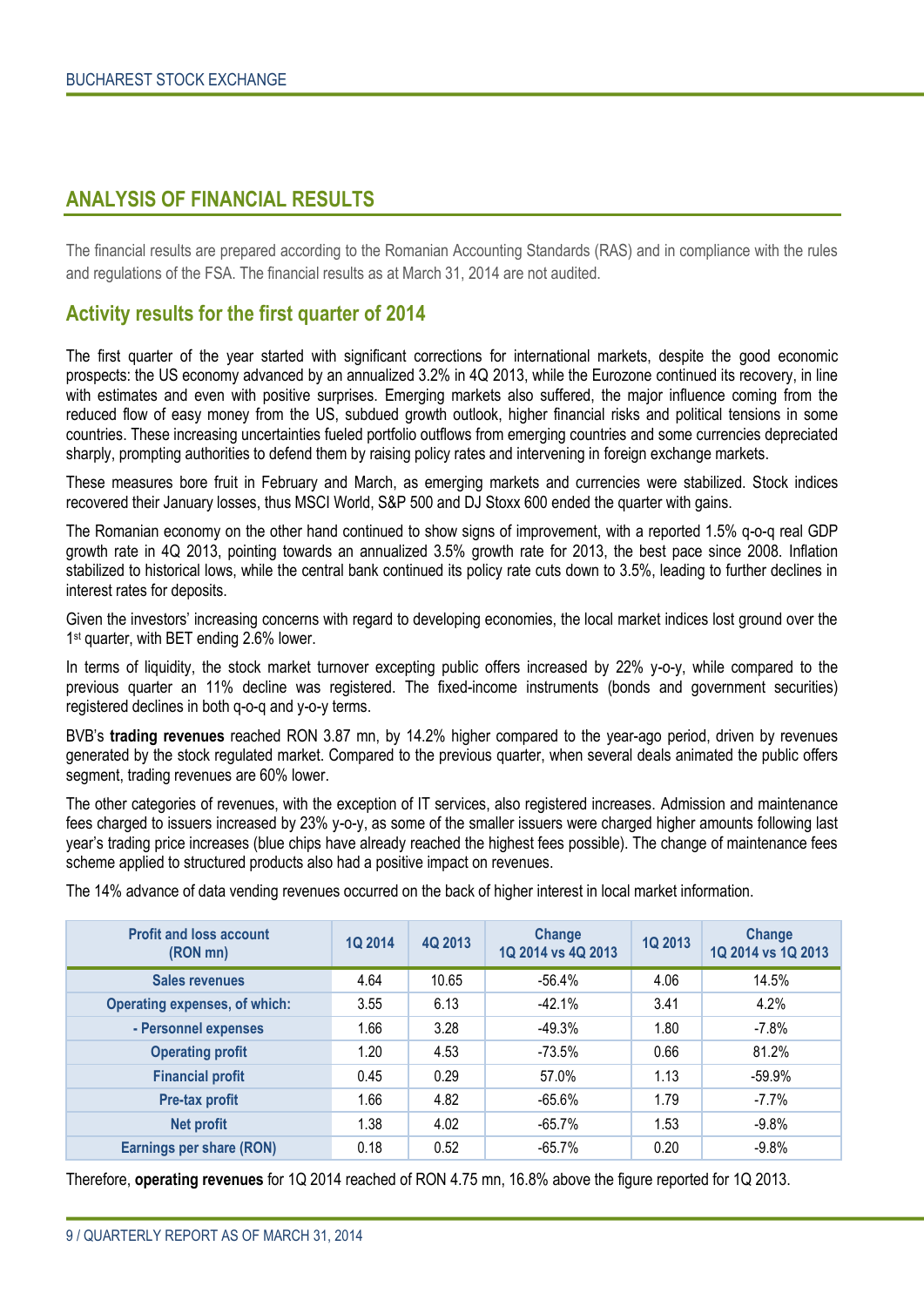#### **ANALYSIS OF FINANCIAL RESULTS**

The financial results are prepared according to the Romanian Accounting Standards (RAS) and in compliance with the rules and regulations of the FSA. The financial results as at March 31, 2014 are not audited.

#### **Activity results for the first quarter of 2014**

The first quarter of the year started with significant corrections for international markets, despite the good economic prospects: the US economy advanced by an annualized 3.2% in 4Q 2013, while the Eurozone continued its recovery, in line with estimates and even with positive surprises. Emerging markets also suffered, the major influence coming from the reduced flow of easy money from the US, subdued growth outlook, higher financial risks and political tensions in some countries. These increasing uncertainties fueled portfolio outflows from emerging countries and some currencies depreciated sharply, prompting authorities to defend them by raising policy rates and intervening in foreign exchange markets.

These measures bore fruit in February and March, as emerging markets and currencies were stabilized. Stock indices recovered their January losses, thus MSCI World, S&P 500 and DJ Stoxx 600 ended the quarter with gains.

The Romanian economy on the other hand continued to show signs of improvement, with a reported 1.5% q-o-q real GDP growth rate in 4Q 2013, pointing towards an annualized 3.5% growth rate for 2013, the best pace since 2008. Inflation stabilized to historical lows, while the central bank continued its policy rate cuts down to 3.5%, leading to further declines in interest rates for deposits.

Given the investors' increasing concerns with regard to developing economies, the local market indices lost ground over the 1<sup>st</sup> quarter, with BET ending 2.6% lower.

In terms of liquidity, the stock market turnover excepting public offers increased by 22% y-o-y, while compared to the previous quarter an 11% decline was registered. The fixed-income instruments (bonds and government securities) registered declines in both q-o-q and y-o-y terms.

BVB's **trading revenues** reached RON 3.87 mn, by 14.2% higher compared to the year-ago period, driven by revenues generated by the stock regulated market. Compared to the previous quarter, when several deals animated the public offers segment, trading revenues are 60% lower.

The other categories of revenues, with the exception of IT services, also registered increases. Admission and maintenance fees charged to issuers increased by 23% y-o-y, as some of the smaller issuers were charged higher amounts following last year's trading price increases (blue chips have already reached the highest fees possible). The change of maintenance fees scheme applied to structured products also had a positive impact on revenues.

| <b>Profit and loss account</b><br>(RON mn) | <b>1Q 2014</b> | 4Q 2013 | Change<br>1Q 2014 vs 4Q 2013 | 1Q 2013 | Change<br>1Q 2014 vs 1Q 2013 |
|--------------------------------------------|----------------|---------|------------------------------|---------|------------------------------|
| <b>Sales revenues</b>                      | 4.64           | 10.65   | $-56.4\%$                    | 4.06    | 14.5%                        |
| <b>Operating expenses, of which:</b>       | 3.55           | 6.13    | $-42.1\%$                    | 3.41    | 4.2%                         |
| - Personnel expenses                       | 1.66           | 3.28    | -49.3%                       | 1.80    | $-7.8%$                      |
| <b>Operating profit</b>                    | 1.20           | 4.53    | $-73.5\%$                    | 0.66    | 81.2%                        |
| <b>Financial profit</b>                    | 0.45           | 0.29    | 57.0%                        | 1.13    | -59.9%                       |
| Pre-tax profit                             | 1.66           | 4.82    | $-65.6\%$                    | 1.79    | $-7.7%$                      |
| <b>Net profit</b>                          | 1.38           | 4.02    | $-65.7%$                     | 1.53    | $-9.8%$                      |
| Earnings per share (RON)                   | 0.18           | 0.52    | $-65.7%$                     | 0.20    | $-9.8%$                      |

The 14% advance of data vending revenues occurred on the back of higher interest in local market information.

Therefore, **operating revenues** for 1Q 2014 reached of RON 4.75 mn, 16.8% above the figure reported for 1Q 2013.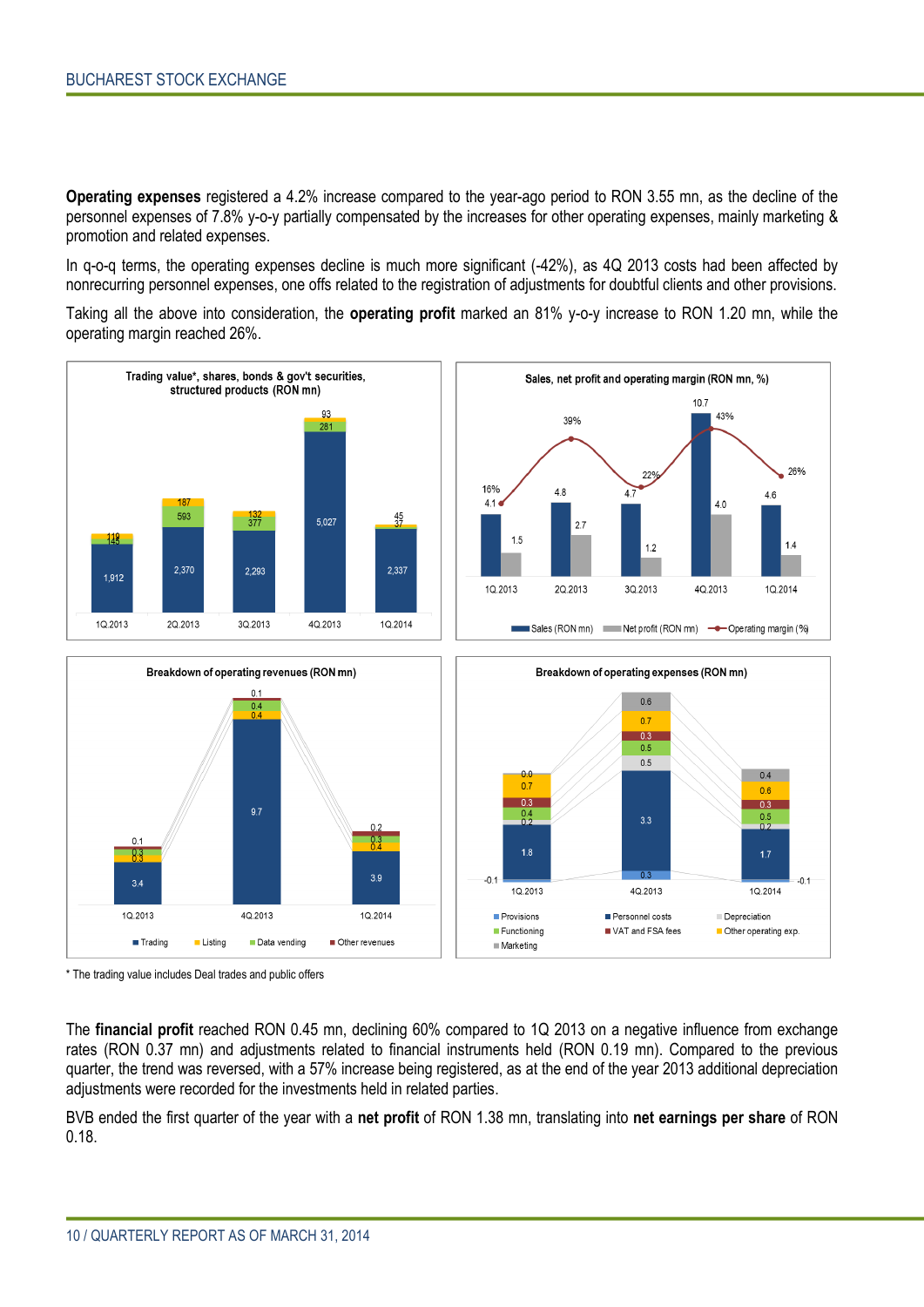**Operating expenses** registered a 4.2% increase compared to the year-ago period to RON 3.55 mn, as the decline of the personnel expenses of 7.8% y-o-y partially compensated by the increases for other operating expenses, mainly marketing & promotion and related expenses.

In q-o-q terms, the operating expenses decline is much more significant (-42%), as 4Q 2013 costs had been affected by nonrecurring personnel expenses, one offs related to the registration of adjustments for doubtful clients and other provisions.

Taking all the above into consideration, the **operating profit** marked an 81% y-o-y increase to RON 1.20 mn, while the operating margin reached 26%.



\* The trading value includes Deal trades and public offers

The **financial profit** reached RON 0.45 mn, declining 60% compared to 1Q 2013 on a negative influence from exchange rates (RON 0.37 mn) and adjustments related to financial instruments held (RON 0.19 mn). Compared to the previous quarter, the trend was reversed, with a 57% increase being registered, as at the end of the year 2013 additional depreciation adjustments were recorded for the investments held in related parties.

BVB ended the first quarter of the year with a **net profit** of RON 1.38 mn, translating into **net earnings per share** of RON 0.18.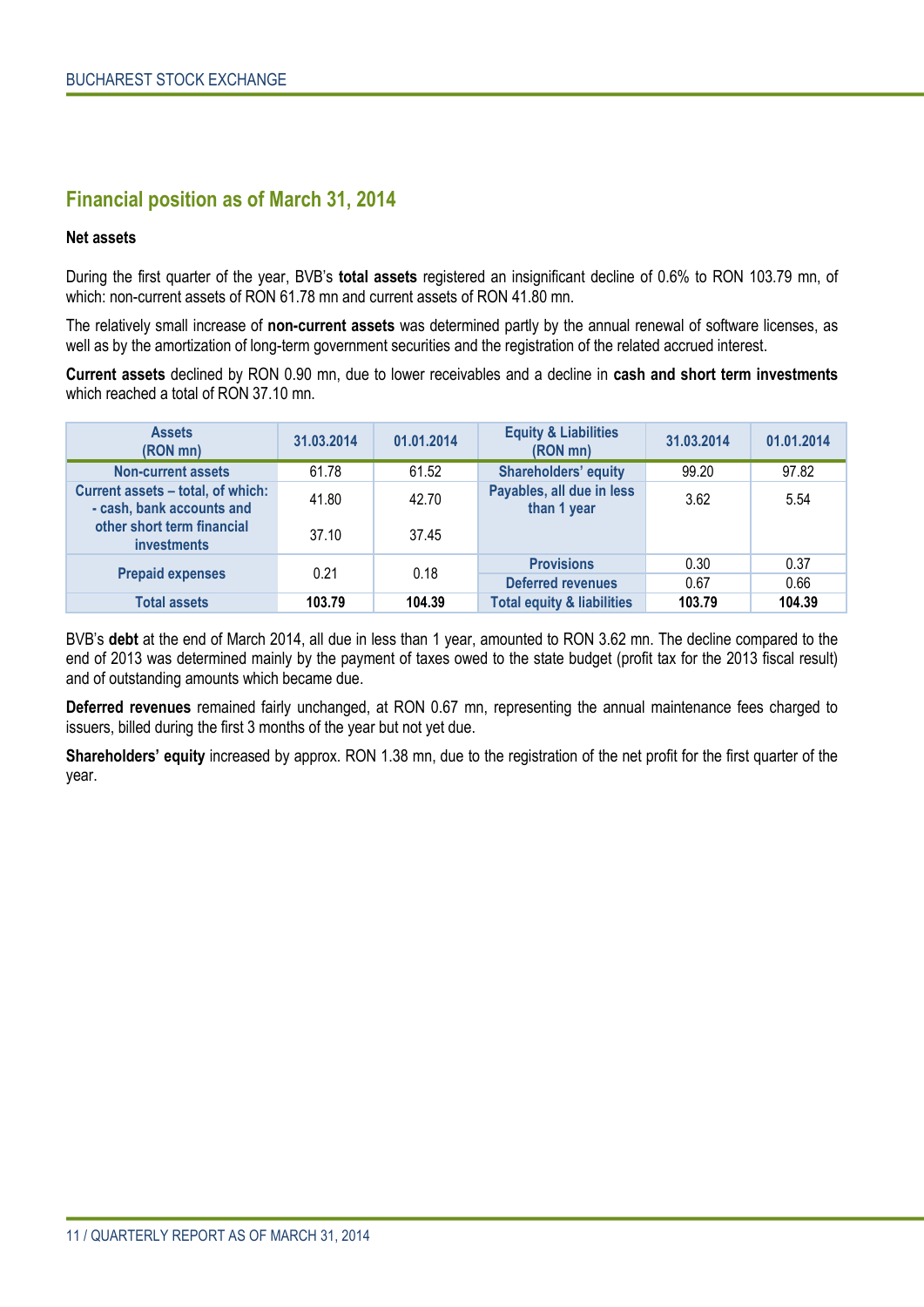#### **Financial position as of March 31, 2014**

#### **Net assets**

During the first quarter of the year, BVB's **total assets** registered an insignificant decline of 0.6% to RON 103.79 mn, of which: non-current assets of RON 61.78 mn and current assets of RON 41.80 mn.

The relatively small increase of **non-current assets** was determined partly by the annual renewal of software licenses, as well as by the amortization of long-term government securities and the registration of the related accrued interest.

**Current assets** declined by RON 0.90 mn, due to lower receivables and a decline in **cash and short term investments** which reached a total of RON 37.10 mn.

| <b>Assets</b><br>(RON mn)                                      | 31.03.2014 | 01.01.2014 | <b>Equity &amp; Liabilities</b><br>(RON mn) | 31.03.2014 | 01.01.2014 |
|----------------------------------------------------------------|------------|------------|---------------------------------------------|------------|------------|
| <b>Non-current assets</b>                                      | 61.78      | 61.52      | <b>Shareholders' equity</b>                 | 99.20      | 97.82      |
| Current assets - total, of which:<br>- cash, bank accounts and | 41.80      | 42.70      | Payables, all due in less<br>than 1 year    | 3.62       | 5.54       |
| other short term financial<br><b>investments</b>               | 37.10      | 37.45      |                                             |            |            |
|                                                                | 0.21       | 0.18       | <b>Provisions</b>                           | 0.30       | 0.37       |
| <b>Prepaid expenses</b>                                        |            |            | <b>Deferred revenues</b>                    | 0.67       | 0.66       |
| <b>Total assets</b>                                            | 103.79     | 104.39     | <b>Total equity &amp; liabilities</b>       | 103.79     | 104.39     |

BVB's **debt** at the end of March 2014, all due in less than 1 year, amounted to RON 3.62 mn. The decline compared to the end of 2013 was determined mainly by the payment of taxes owed to the state budget (profit tax for the 2013 fiscal result) and of outstanding amounts which became due.

**Deferred revenues** remained fairly unchanged, at RON 0.67 mn, representing the annual maintenance fees charged to issuers, billed during the first 3 months of the year but not yet due.

**Shareholders' equity** increased by approx. RON 1.38 mn, due to the registration of the net profit for the first quarter of the year.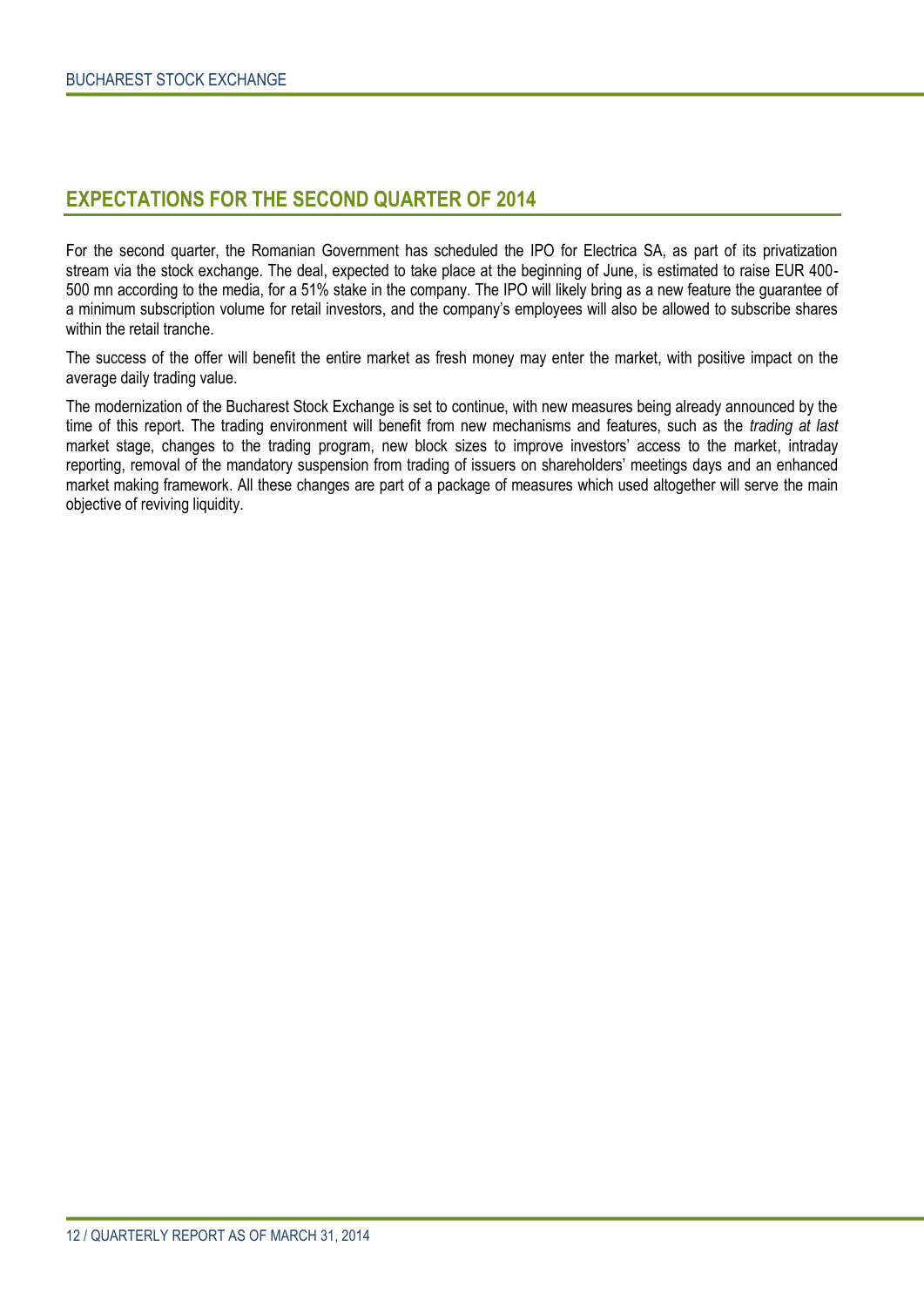#### **EXPECTATIONS FOR THE SECOND QUARTER OF 2014**

For the second quarter, the Romanian Government has scheduled the IPO for Electrica SA, as part of its privatization stream via the stock exchange. The deal, expected to take place at the beginning of June, is estimated to raise EUR 400- 500 mn according to the media, for a 51% stake in the company. The IPO will likely bring as a new feature the guarantee of a minimum subscription volume for retail investors, and the company's employees will also be allowed to subscribe shares within the retail tranche.

The success of the offer will benefit the entire market as fresh money may enter the market, with positive impact on the average daily trading value.

The modernization of the Bucharest Stock Exchange is set to continue, with new measures being already announced by the time of this report. The trading environment will benefit from new mechanisms and features, such as the *trading at last* market stage, changes to the trading program, new block sizes to improve investors' access to the market, intraday reporting, removal of the mandatory suspension from trading of issuers on shareholders' meetings days and an enhanced market making framework. All these changes are part of a package of measures which used altogether will serve the main objective of reviving liquidity.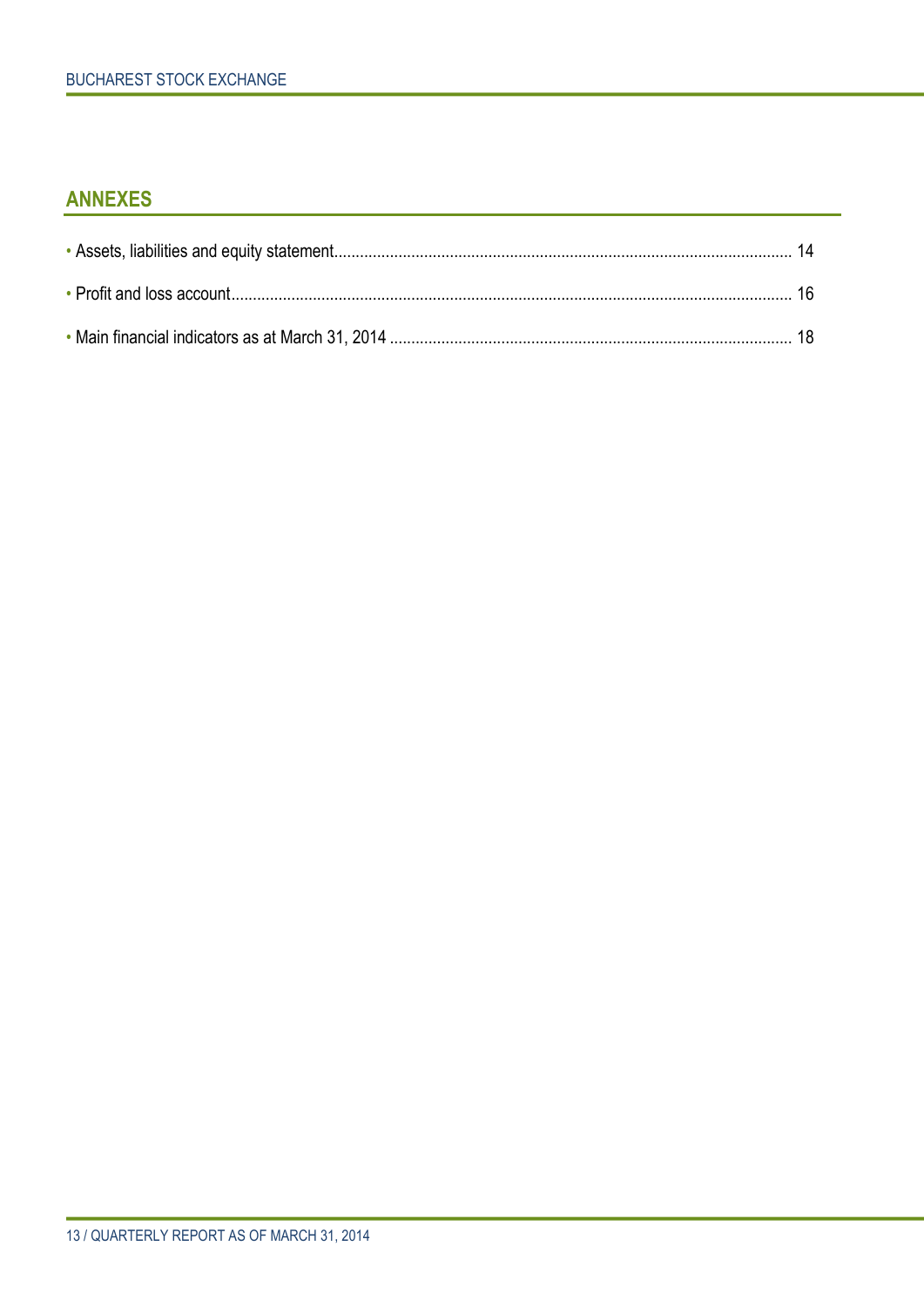### **ANNEXES**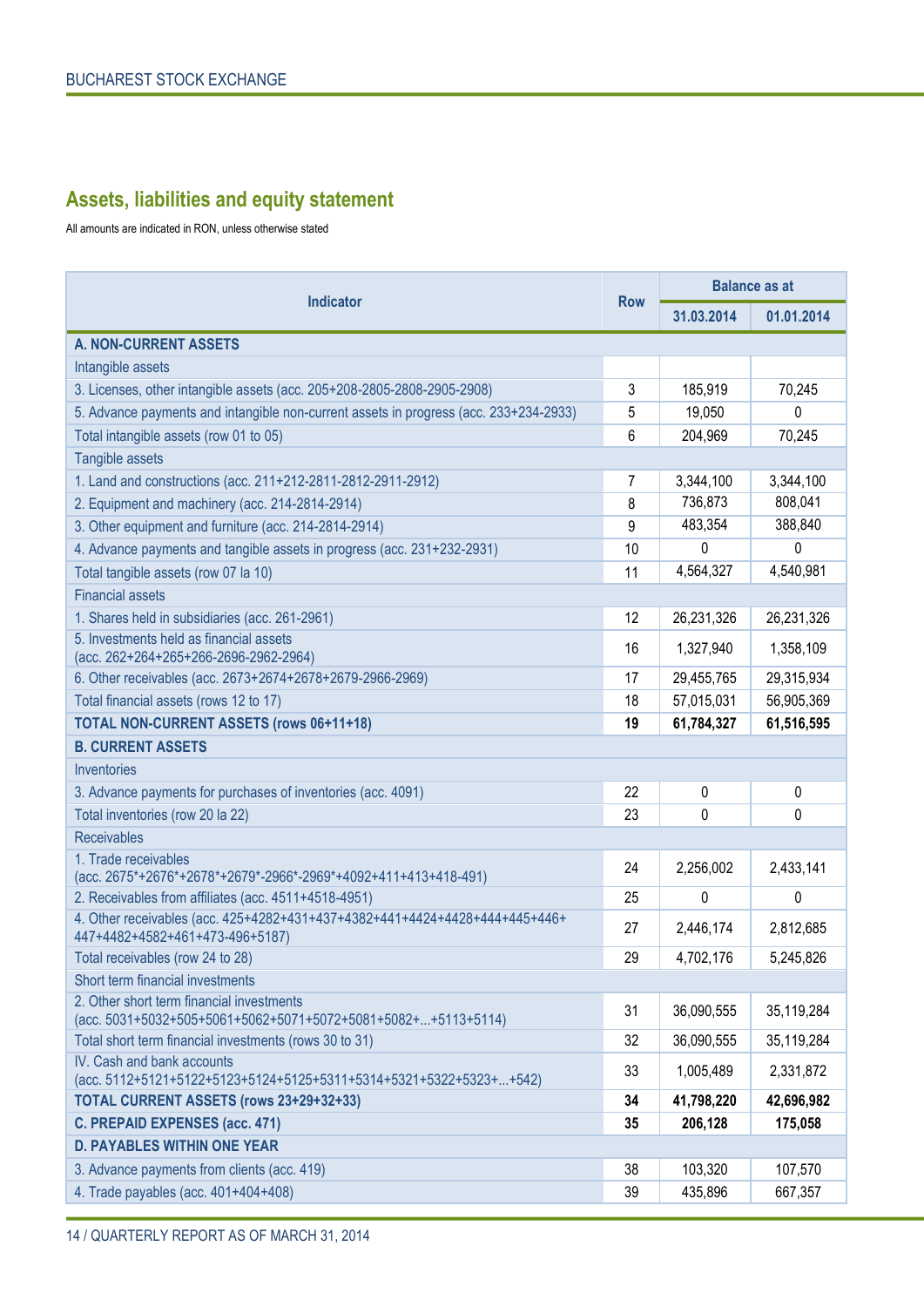## **Assets, liabilities and equity statement**

All amounts are indicated in RON, unless otherwise stated

| <b>Indicator</b>                                                                                               |            | <b>Balance as at</b> |            |
|----------------------------------------------------------------------------------------------------------------|------------|----------------------|------------|
|                                                                                                                | <b>Row</b> | 31.03.2014           | 01.01.2014 |
| <b>A. NON-CURRENT ASSETS</b>                                                                                   |            |                      |            |
| Intangible assets                                                                                              |            |                      |            |
| 3. Licenses, other intangible assets (acc. 205+208-2805-2808-2905-2908)                                        | 3          | 185,919              | 70,245     |
| 5. Advance payments and intangible non-current assets in progress (acc. 233+234-2933)                          | 5          | 19,050               | 0          |
| Total intangible assets (row 01 to 05)                                                                         | 6          | 204,969              | 70,245     |
| Tangible assets                                                                                                |            |                      |            |
| 1. Land and constructions (acc. 211+212-2811-2812-2911-2912)                                                   | 7          | 3,344,100            | 3,344,100  |
| 2. Equipment and machinery (acc. 214-2814-2914)                                                                | 8          | 736,873              | 808,041    |
| 3. Other equipment and furniture (acc. 214-2814-2914)                                                          | 9          | 483,354              | 388,840    |
| 4. Advance payments and tangible assets in progress (acc. 231+232-2931)                                        | 10         | 0                    | 0          |
| Total tangible assets (row 07 la 10)                                                                           | 11         | 4,564,327            | 4,540,981  |
| <b>Financial assets</b>                                                                                        |            |                      |            |
| 1. Shares held in subsidiaries (acc. 261-2961)                                                                 | 12         | 26,231,326           | 26,231,326 |
| 5. Investments held as financial assets<br>(acc. 262+264+265+266-2696-2962-2964)                               | 16         | 1,327,940            | 1,358,109  |
| 6. Other receivables (acc. 2673+2674+2678+2679-2966-2969)                                                      | 17         | 29,455,765           | 29,315,934 |
| Total financial assets (rows 12 to 17)                                                                         | 18         | 57,015,031           | 56,905,369 |
| TOTAL NON-CURRENT ASSETS (rows 06+11+18)                                                                       | 19         | 61,784,327           | 61,516,595 |
| <b>B. CURRENT ASSETS</b>                                                                                       |            |                      |            |
| Inventories                                                                                                    |            |                      |            |
| 3. Advance payments for purchases of inventories (acc. 4091)                                                   | 22         | 0                    | 0          |
| Total inventories (row 20 la 22)                                                                               | 23         | 0                    | 0          |
| <b>Receivables</b>                                                                                             |            |                      |            |
| 1. Trade receivables<br>(acc. 2675*+2676*+2678*+2679*-2966*-2969*+4092+411+413+418-491)                        | 24         | 2,256,002            | 2,433,141  |
| 2. Receivables from affiliates (acc. 4511+4518-4951)                                                           | 25         | 0                    | 0          |
| 4. Other receivables (acc. 425+4282+431+437+4382+441+4424+4428+444+445+446+<br>447+4482+4582+461+473-496+5187) | 27         | 2,446,174            | 2,812,685  |
| Total receivables (row 24 to 28)                                                                               | 29         | 4,702,176            | 5,245,826  |
| Short term financial investments                                                                               |            |                      |            |
| 2. Other short term financial investments<br>$(acc. 5031+5032+505+5061+5062+5071+5072+5081+5082++5113+5114)$   | 31         | 36,090,555           | 35,119,284 |
| Total short term financial investments (rows 30 to 31)                                                         | 32         | 36,090,555           | 35,119,284 |
| IV. Cash and bank accounts<br>(acc. 5112+5121+5122+5123+5124+5125+5311+5314+5321+5322+5323++542)               | 33         | 1,005,489            | 2,331,872  |
| TOTAL CURRENT ASSETS (rows 23+29+32+33)                                                                        | 34         | 41,798,220           | 42,696,982 |
| C. PREPAID EXPENSES (acc. 471)                                                                                 | 35         | 206,128              | 175,058    |
| <b>D. PAYABLES WITHIN ONE YEAR</b>                                                                             |            |                      |            |
| 3. Advance payments from clients (acc. 419)                                                                    | 38         | 103,320              | 107,570    |
| 4. Trade payables (acc. 401+404+408)                                                                           | 39         | 435,896              | 667,357    |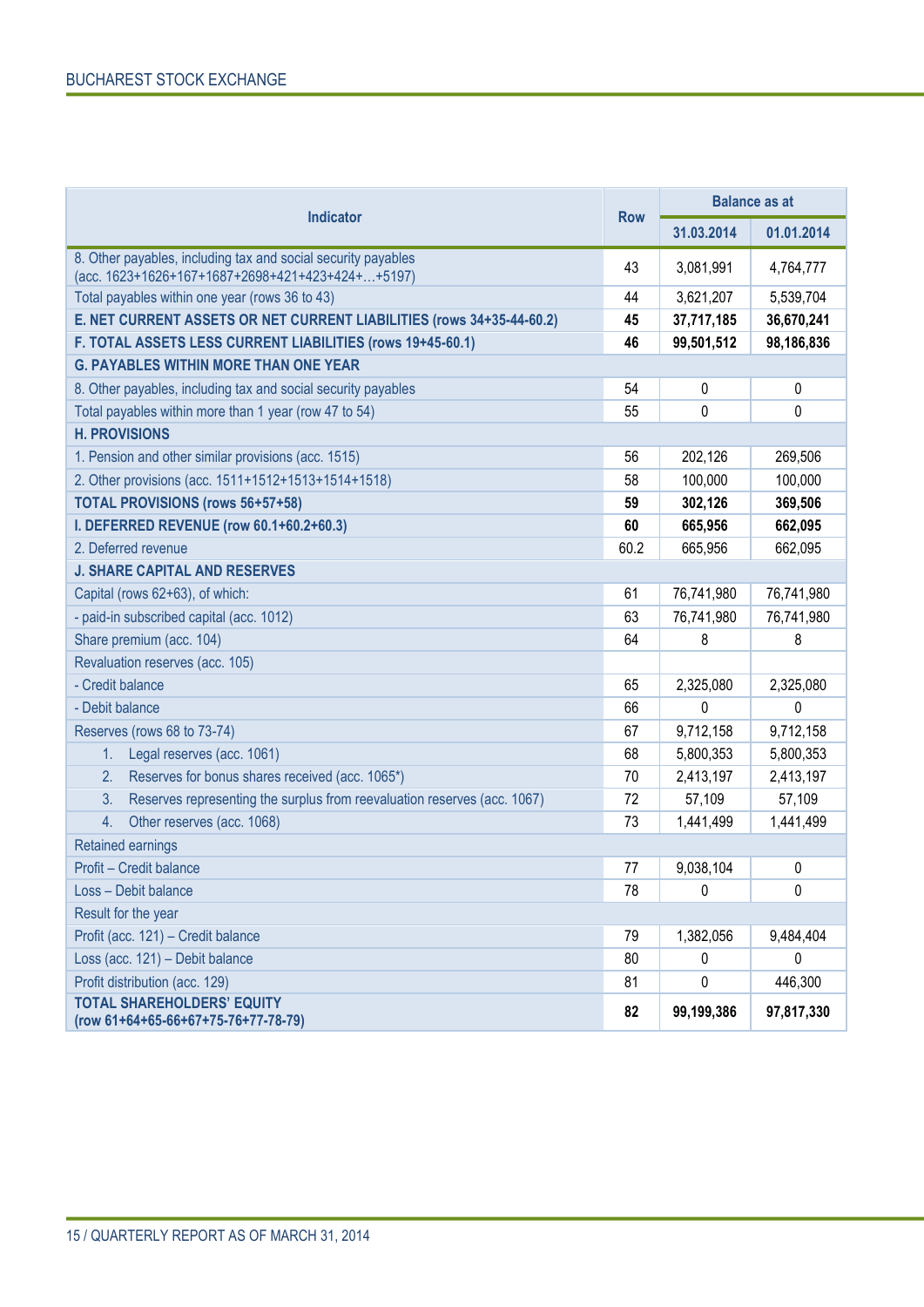|                                                                                                                   |            | <b>Balance as at</b> |            |
|-------------------------------------------------------------------------------------------------------------------|------------|----------------------|------------|
| <b>Indicator</b>                                                                                                  | <b>Row</b> | 31.03.2014           | 01.01.2014 |
| 8. Other payables, including tax and social security payables<br>(acc. 1623+1626+167+1687+2698+421+423+424++5197) | 43         | 3,081,991            | 4,764,777  |
| Total payables within one year (rows 36 to 43)                                                                    | 44         | 3,621,207            | 5,539,704  |
| E. NET CURRENT ASSETS OR NET CURRENT LIABILITIES (rows 34+35-44-60.2)                                             | 45         | 37,717,185           | 36,670,241 |
| F. TOTAL ASSETS LESS CURRENT LIABILITIES (rows 19+45-60.1)                                                        | 46         | 99,501,512           | 98,186,836 |
| <b>G. PAYABLES WITHIN MORE THAN ONE YEAR</b>                                                                      |            |                      |            |
| 8. Other payables, including tax and social security payables                                                     | 54         | 0                    | 0          |
| Total payables within more than 1 year (row 47 to 54)                                                             | 55         | 0                    | 0          |
| <b>H. PROVISIONS</b>                                                                                              |            |                      |            |
| 1. Pension and other similar provisions (acc. 1515)                                                               | 56         | 202,126              | 269,506    |
| 2. Other provisions (acc. 1511+1512+1513+1514+1518)                                                               | 58         | 100,000              | 100,000    |
| <b>TOTAL PROVISIONS (rows 56+57+58)</b>                                                                           | 59         | 302,126              | 369,506    |
| I. DEFERRED REVENUE (row 60.1+60.2+60.3)                                                                          | 60         | 665,956              | 662,095    |
| 2. Deferred revenue                                                                                               | 60.2       | 665,956              | 662,095    |
| <b>J. SHARE CAPITAL AND RESERVES</b>                                                                              |            |                      |            |
| Capital (rows 62+63), of which:                                                                                   | 61         | 76,741,980           | 76,741,980 |
| - paid-in subscribed capital (acc. 1012)                                                                          | 63         | 76,741,980           | 76,741,980 |
| Share premium (acc. 104)                                                                                          | 64         | 8                    | 8          |
| Revaluation reserves (acc. 105)                                                                                   |            |                      |            |
| - Credit balance                                                                                                  | 65         | 2,325,080            | 2,325,080  |
| - Debit balance                                                                                                   | 66         | 0                    | 0          |
| Reserves (rows 68 to 73-74)                                                                                       | 67         | 9,712,158            | 9,712,158  |
| 1.<br>Legal reserves (acc. 1061)                                                                                  | 68         | 5,800,353            | 5,800,353  |
| Reserves for bonus shares received (acc. 1065*)<br>2.                                                             | 70         | 2,413,197            | 2,413,197  |
| Reserves representing the surplus from reevaluation reserves (acc. 1067)<br>3.                                    | 72         | 57,109               | 57,109     |
| 4.<br>Other reserves (acc. 1068)                                                                                  | 73         | 1,441,499            | 1,441,499  |
| <b>Retained earnings</b>                                                                                          |            |                      |            |
| Profit - Credit balance                                                                                           | 77         | 9,038,104            | 0          |
| Loss - Debit balance                                                                                              | 78         | 0                    | U          |
| Result for the year                                                                                               |            |                      |            |
| Profit (acc. 121) - Credit balance                                                                                | 79         | 1,382,056            | 9,484,404  |
| Loss (acc. 121) - Debit balance                                                                                   | 80         | 0                    | 0          |
| Profit distribution (acc. 129)                                                                                    | 81         | 0                    | 446,300    |
| <b>TOTAL SHAREHOLDERS' EQUITY</b><br>(row 61+64+65-66+67+75-76+77-78-79)                                          | 82         | 99,199,386           | 97,817,330 |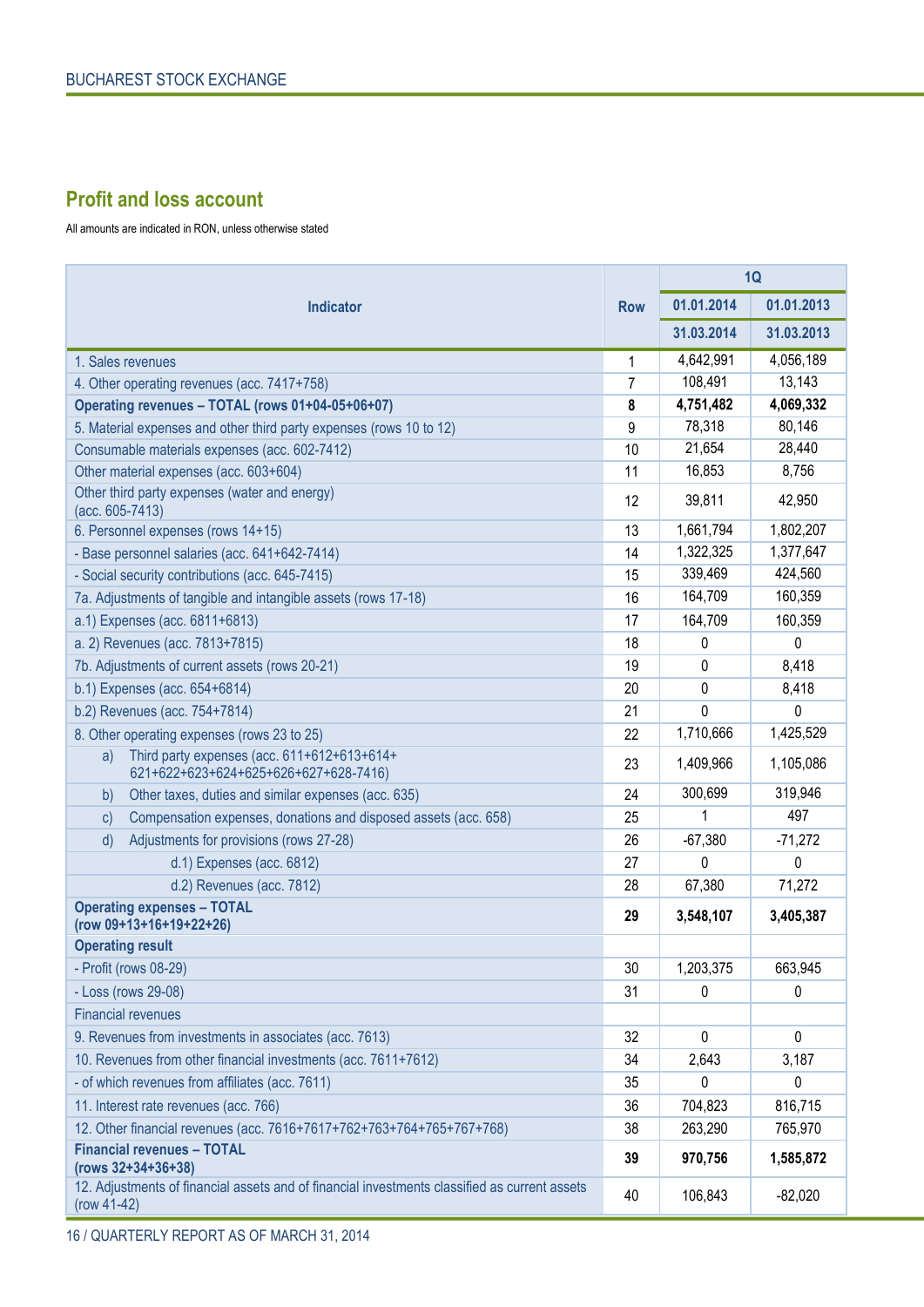## **Profit and loss account**

All amounts are indicated in RON, unless otherwise stated

| <b>Indicator</b>                                                                                               |    | 1Q         |            |
|----------------------------------------------------------------------------------------------------------------|----|------------|------------|
|                                                                                                                |    | 01.01.2014 | 01.01.2013 |
|                                                                                                                |    | 31.03.2014 | 31.03.2013 |
| 1. Sales revenues                                                                                              | 1  | 4,642,991  | 4,056,189  |
| 4. Other operating revenues (acc. 7417+758)                                                                    | 7  | 108,491    | 13,143     |
| Operating revenues - TOTAL (rows 01+04-05+06+07)                                                               | 8  | 4,751,482  | 4,069,332  |
| 5. Material expenses and other third party expenses (rows 10 to 12)                                            | 9  | 78,318     | 80,146     |
| Consumable materials expenses (acc. 602-7412)                                                                  | 10 | 21,654     | 28,440     |
| Other material expenses (acc. 603+604)                                                                         | 11 | 16,853     | 8,756      |
| Other third party expenses (water and energy)<br>(acc. 605-7413)                                               | 12 | 39,811     | 42,950     |
| 6. Personnel expenses (rows 14+15)                                                                             | 13 | 1,661,794  | 1,802,207  |
| - Base personnel salaries (acc. 641+642-7414)                                                                  | 14 | 1,322,325  | 1,377,647  |
| - Social security contributions (acc. 645-7415)                                                                | 15 | 339,469    | 424,560    |
| 7a. Adjustments of tangible and intangible assets (rows 17-18)                                                 | 16 | 164,709    | 160,359    |
| a.1) Expenses (acc. 6811+6813)                                                                                 | 17 | 164,709    | 160,359    |
| a. 2) Revenues (acc. 7813+7815)                                                                                | 18 | $\Omega$   | 0          |
| 7b. Adjustments of current assets (rows 20-21)                                                                 | 19 | $\Omega$   | 8,418      |
| b.1) Expenses (acc. 654+6814)                                                                                  | 20 | 0          | 8,418      |
| b.2) Revenues (acc. 754+7814)                                                                                  | 21 | 0          | 0          |
| 8. Other operating expenses (rows 23 to 25)                                                                    | 22 | 1,710,666  | 1,425,529  |
| Third party expenses (acc. 611+612+613+614+<br>a)<br>621+622+623+624+625+626+627+628-7416)                     | 23 | 1,409,966  | 1,105,086  |
| Other taxes, duties and similar expenses (acc. 635)<br>b)                                                      | 24 | 300,699    | 319,946    |
| Compensation expenses, donations and disposed assets (acc. 658)<br>c)                                          | 25 | 1          | 497        |
| Adjustments for provisions (rows 27-28)<br>d)                                                                  | 26 | $-67,380$  | $-71,272$  |
| d.1) Expenses (acc. 6812)                                                                                      | 27 | 0          | 0          |
| d.2) Revenues (acc. 7812)                                                                                      | 28 | 67,380     | 71,272     |
| <b>Operating expenses - TOTAL</b><br>(row 09+13+16+19+22+26)                                                   | 29 | 3,548,107  | 3,405,387  |
| <b>Operating result</b>                                                                                        |    |            |            |
| - Profit (rows 08-29)                                                                                          | 30 | 1,203,375  | 663,945    |
| - Loss (rows 29-08)                                                                                            | 31 | 0          | 0          |
| <b>Financial revenues</b>                                                                                      |    |            |            |
| 9. Revenues from investments in associates (acc. 7613)                                                         | 32 | 0          | 0          |
| 10. Revenues from other financial investments (acc. 7611+7612)                                                 | 34 | 2,643      | 3,187      |
| - of which revenues from affiliates (acc. 7611)                                                                | 35 | 0          | 0          |
| 11. Interest rate revenues (acc. 766)                                                                          | 36 | 704,823    | 816,715    |
| 12. Other financial revenues (acc. 7616+7617+762+763+764+765+767+768)                                          | 38 | 263,290    | 765,970    |
| <b>Financial revenues - TOTAL</b><br>(rows 32+34+36+38)                                                        | 39 | 970,756    | 1,585,872  |
| 12. Adjustments of financial assets and of financial investments classified as current assets<br>$(row 41-42)$ | 40 | 106,843    | $-82,020$  |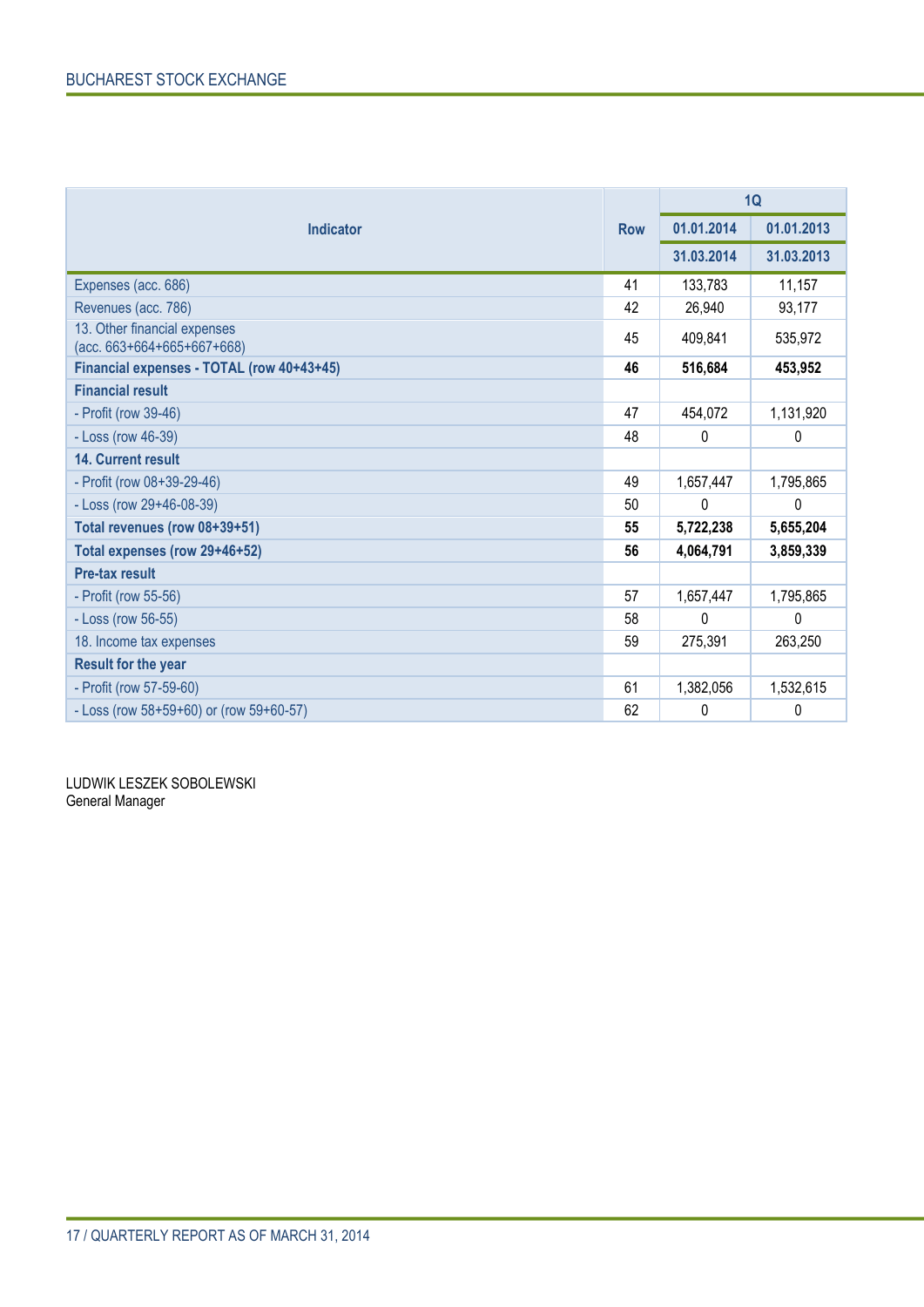|                                                                      |            | 1Q         |            |
|----------------------------------------------------------------------|------------|------------|------------|
| <b>Indicator</b>                                                     | <b>Row</b> | 01.01.2014 | 01.01.2013 |
|                                                                      |            | 31.03.2014 | 31.03.2013 |
| Expenses (acc. 686)                                                  | 41         | 133,783    | 11,157     |
| Revenues (acc. 786)                                                  | 42         | 26,940     | 93,177     |
| 13. Other financial expenses<br>$(\text{acc. } 663+664+665+667+668)$ | 45         | 409,841    | 535,972    |
| Financial expenses - TOTAL (row 40+43+45)                            | 46         | 516,684    | 453,952    |
| <b>Financial result</b>                                              |            |            |            |
| - Profit (row 39-46)                                                 | 47         | 454,072    | 1,131,920  |
| - Loss (row 46-39)                                                   | 48         | 0          | 0          |
| <b>14. Current result</b>                                            |            |            |            |
| - Profit (row 08+39-29-46)                                           | 49         | 1,657,447  | 1,795,865  |
| - Loss (row 29+46-08-39)                                             | 50         | 0          | 0          |
| Total revenues (row 08+39+51)                                        | 55         | 5,722,238  | 5,655,204  |
| Total expenses (row 29+46+52)                                        | 56         | 4,064,791  | 3,859,339  |
| <b>Pre-tax result</b>                                                |            |            |            |
| - Profit (row 55-56)                                                 | 57         | 1,657,447  | 1,795,865  |
| - Loss (row 56-55)                                                   | 58         | 0          | 0          |
| 18. Income tax expenses                                              | 59         | 275,391    | 263,250    |
| <b>Result for the year</b>                                           |            |            |            |
| - Profit (row 57-59-60)                                              | 61         | 1,382,056  | 1,532,615  |
| - Loss (row 58+59+60) or (row 59+60-57)                              | 62         | 0          | 0          |

LUDWIK LESZEK SOBOLEWSKI General Manager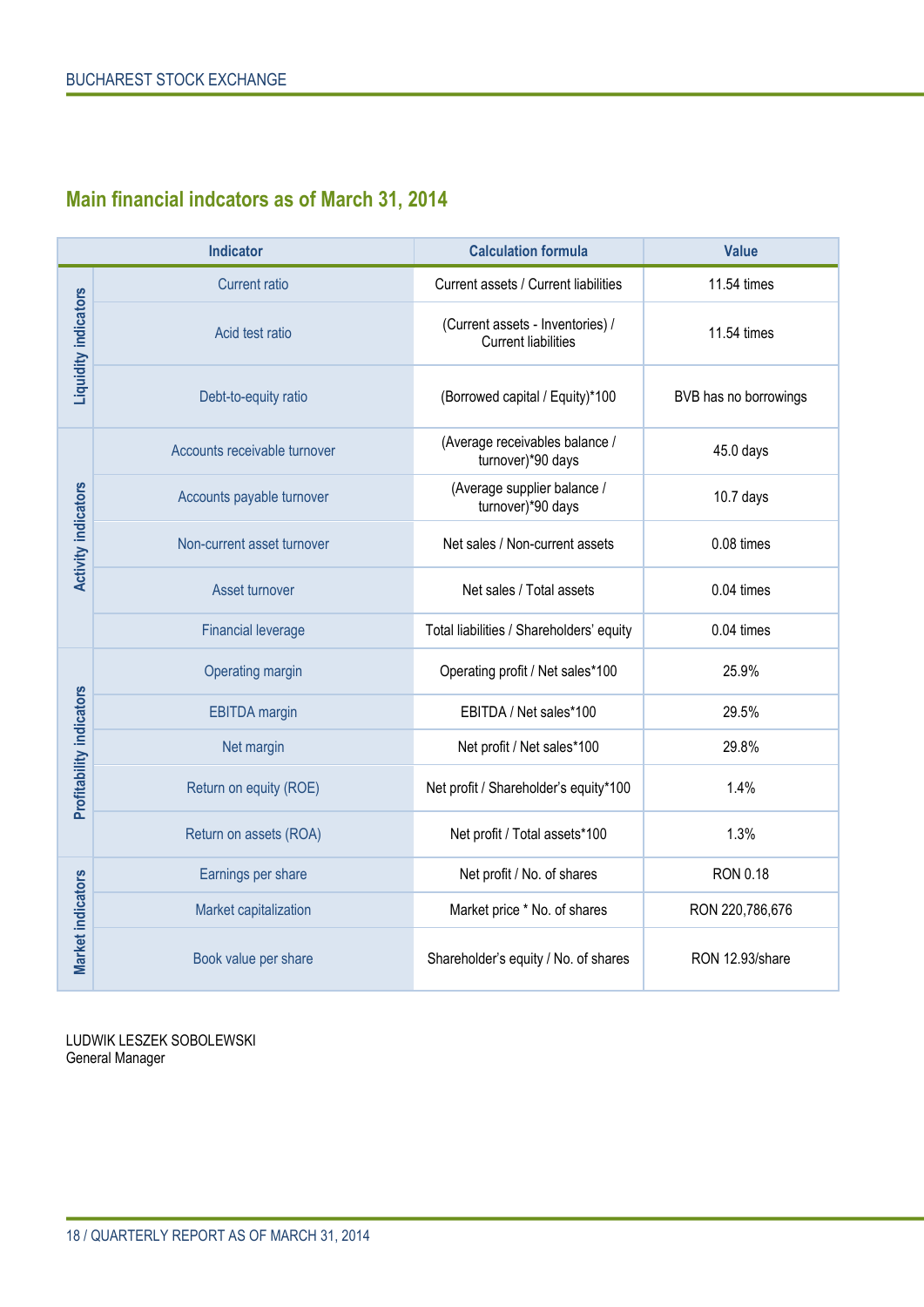## **Main financial indcators as of March 31, 2014**

|                                 | <b>Indicator</b>             | <b>Calculation formula</b>                                     | <b>Value</b>          |
|---------------------------------|------------------------------|----------------------------------------------------------------|-----------------------|
|                                 | <b>Current ratio</b>         | Current assets / Current liabilities                           | 11.54 times           |
| Liquidity indicators            | Acid test ratio              | (Current assets - Inventories) /<br><b>Current liabilities</b> | 11.54 times           |
|                                 | Debt-to-equity ratio         | (Borrowed capital / Equity)*100                                | BVB has no borrowings |
|                                 | Accounts receivable turnover | (Average receivables balance /<br>turnover)*90 days            | 45.0 days             |
|                                 | Accounts payable turnover    | (Average supplier balance /<br>turnover)*90 days               | $10.7$ days           |
| <b>Activity indicators</b>      | Non-current asset turnover   | Net sales / Non-current assets                                 | 0.08 times            |
|                                 | Asset turnover               | Net sales / Total assets                                       | 0.04 times            |
|                                 | <b>Financial leverage</b>    | Total liabilities / Shareholders' equity                       | 0.04 times            |
|                                 | Operating margin             | Operating profit / Net sales*100                               | 25.9%                 |
|                                 | <b>EBITDA</b> margin         | EBITDA / Net sales*100                                         | 29.5%                 |
|                                 | Net margin                   | Net profit / Net sales*100                                     | 29.8%                 |
| <b>Profitability indicators</b> | Return on equity (ROE)       | Net profit / Shareholder's equity*100                          | 1.4%                  |
|                                 | Return on assets (ROA)       | Net profit / Total assets*100                                  | 1.3%                  |
|                                 | Earnings per share           | Net profit / No. of shares                                     | <b>RON 0.18</b>       |
|                                 | Market capitalization        | Market price * No. of shares                                   | RON 220,786,676       |
| Market indicators               | Book value per share         | Shareholder's equity / No. of shares                           | RON 12.93/share       |

LUDWIK LESZEK SOBOLEWSKI General Manager